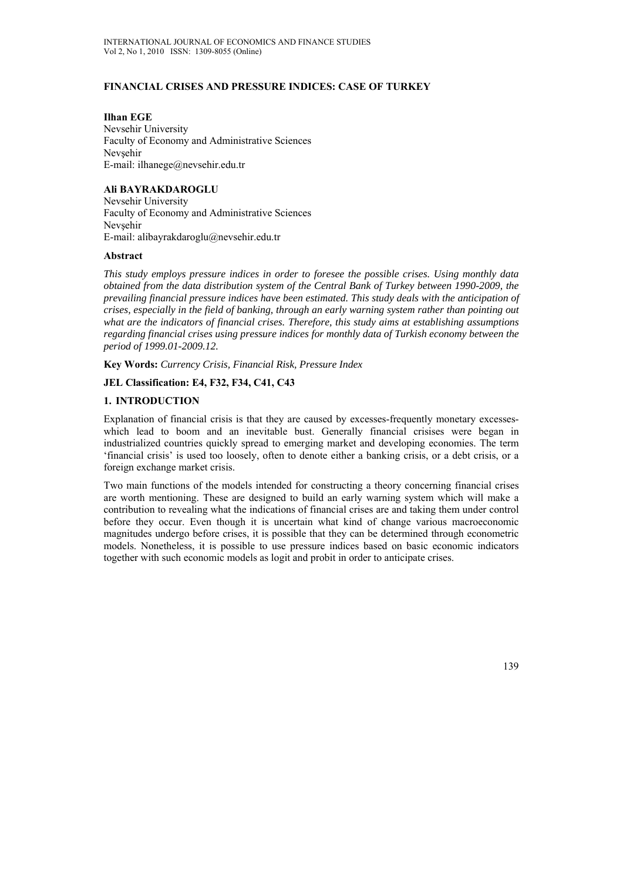# **FINANCIAL CRISES AND PRESSURE INDICES: CASE OF TURKEY**

**Ilhan EGE**  Nevsehir University Faculty of Economy and Administrative Sciences Nevsehir E-mail: ilhanege@nevsehir.edu.tr

# **Ali BAYRAKDAROGLU**

Nevsehir University Faculty of Economy and Administrative Sciences Nevsehir E-mail: alibayrakdaroglu@nevsehir.edu.tr

### **Abstract**

*This study employs pressure indices in order to foresee the possible crises. Using monthly data obtained from the data distribution system of the Central Bank of Turkey between 1990-2009, the prevailing financial pressure indices have been estimated. This study deals with the anticipation of crises, especially in the field of banking, through an early warning system rather than pointing out what are the indicators of financial crises. Therefore, this study aims at establishing assumptions regarding financial crises using pressure indices for monthly data of Turkish economy between the period of 1999.01-2009.12.* 

**Key Words:** *Currency Crisis, Financial Risk, Pressure Index* 

# **JEL Classification: E4, F32, F34, C41, C43**

# **1. INTRODUCTION**

Explanation of financial crisis is that they are caused by excesses-frequently monetary excesseswhich lead to boom and an inevitable bust. Generally financial crisises were began in industrialized countries quickly spread to emerging market and developing economies. The term 'financial crisis' is used too loosely, often to denote either a banking crisis, or a debt crisis, or a foreign exchange market crisis.

Two main functions of the models intended for constructing a theory concerning financial crises are worth mentioning. These are designed to build an early warning system which will make a contribution to revealing what the indications of financial crises are and taking them under control before they occur. Even though it is uncertain what kind of change various macroeconomic magnitudes undergo before crises, it is possible that they can be determined through econometric models. Nonetheless, it is possible to use pressure indices based on basic economic indicators together with such economic models as logit and probit in order to anticipate crises.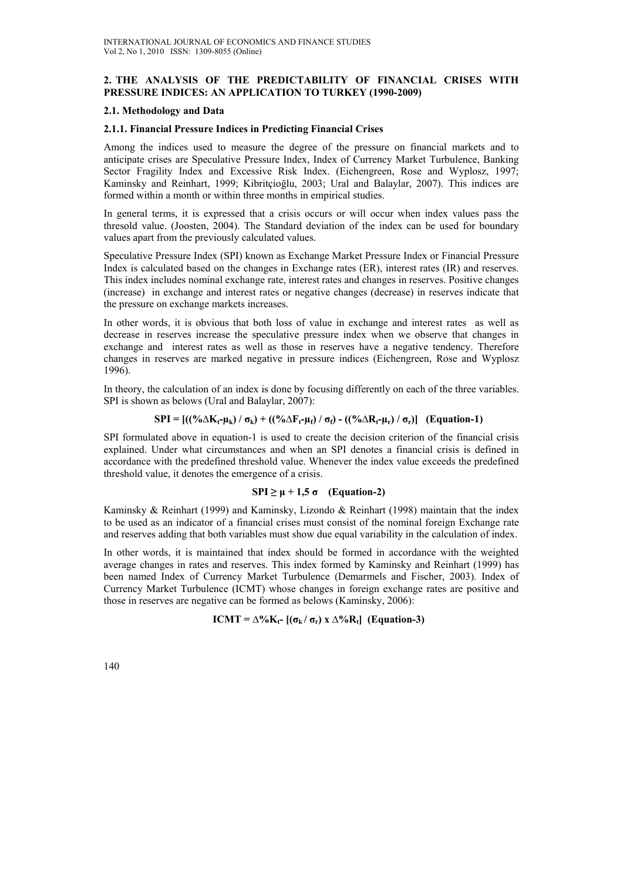# **2. THE ANALYSIS OF THE PREDICTABILITY OF FINANCIAL CRISES WITH PRESSURE INDICES: AN APPLICATION TO TURKEY (1990-2009)**

### **2.1. Methodology and Data**

### **2.1.1. Financial Pressure Indices in Predicting Financial Crises**

Among the indices used to measure the degree of the pressure on financial markets and to anticipate crises are Speculative Pressure Index, Index of Currency Market Turbulence, Banking Sector Fragility Index and Excessive Risk Index. (Eichengreen, Rose and Wyplosz, 1997; Kaminsky and Reinhart, 1999; Kibritçioğlu, 2003; Ural and Balaylar, 2007). This indices are formed within a month or within three months in empirical studies.

In general terms, it is expressed that a crisis occurs or will occur when index values pass the thresold value. (Joosten, 2004). The Standard deviation of the index can be used for boundary values apart from the previously calculated values.

Speculative Pressure Index (SPI) known as Exchange Market Pressure Index or Financial Pressure Index is calculated based on the changes in Exchange rates (ER), interest rates (IR) and reserves. This index includes nominal exchange rate, interest rates and changes in reserves. Positive changes (increase) in exchange and interest rates or negative changes (decrease) in reserves indicate that the pressure on exchange markets increases.

In other words, it is obvious that both loss of value in exchange and interest rates as well as decrease in reserves increase the speculative pressure index when we observe that changes in exchange and interest rates as well as those in reserves have a negative tendency. Therefore changes in reserves are marked negative in pressure indices (Eichengreen, Rose and Wyplosz 1996).

In theory, the calculation of an index is done by focusing differently on each of the three variables. SPI is shown as belows (Ural and Balaylar, 2007):

### $SPI = [((\frac{0}{6}\Delta K_t - \mu_k) / \sigma_k) + ((\frac{0}{6}\Delta F_t - \mu_i) / \sigma_i) - ((\frac{0}{6}\Delta R_t - \mu_k) / \sigma_i)]$  (Equation-1)

SPI formulated above in equation-1 is used to create the decision criterion of the financial crisis explained. Under what circumstances and when an SPI denotes a financial crisis is defined in accordance with the predefined threshold value. Whenever the index value exceeds the predefined threshold value, it denotes the emergence of a crisis.

#### $SPI \ge \mu + 1,5$  **σ** (Equation-2)

Kaminsky & Reinhart (1999) and Kaminsky, Lizondo & Reinhart (1998) maintain that the index to be used as an indicator of a financial crises must consist of the nominal foreign Exchange rate and reserves adding that both variables must show due equal variability in the calculation of index.

In other words, it is maintained that index should be formed in accordance with the weighted average changes in rates and reserves. This index formed by Kaminsky and Reinhart (1999) has been named Index of Currency Market Turbulence (Demarmels and Fischer, 2003). Index of Currency Market Turbulence (ICMT) whose changes in foreign exchange rates are positive and those in reserves are negative can be formed as belows (Kaminsky, 2006):

# $ICMT = \Delta\%K_f - [(\sigma_k / \sigma_r) \times \Delta\%R_f]$  (Equation-3)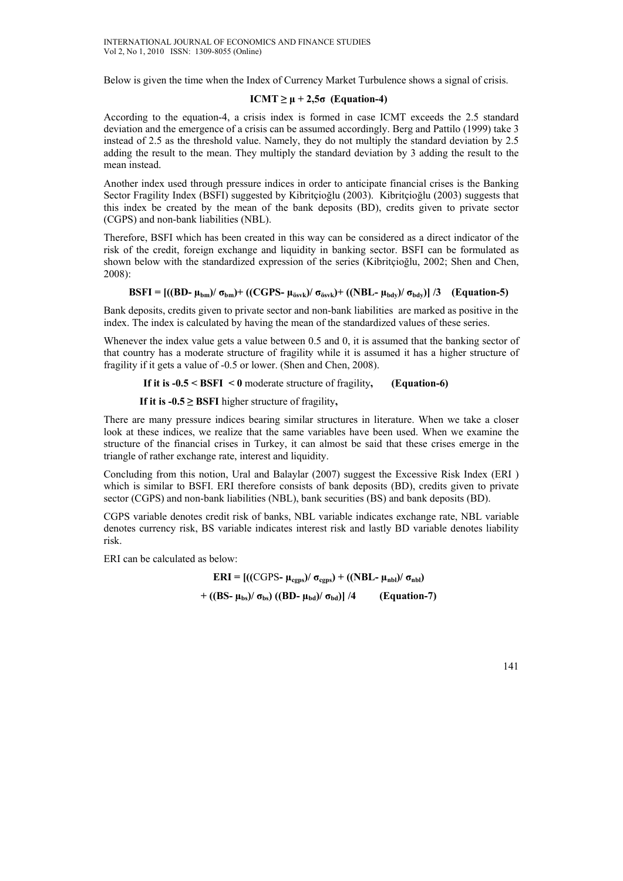Below is given the time when the Index of Currency Market Turbulence shows a signal of crisis.

# $ICMT \geq \mu + 2.5\sigma$  (Equation-4)

According to the equation-4, a crisis index is formed in case ICMT exceeds the 2.5 standard deviation and the emergence of a crisis can be assumed accordingly. Berg and Pattilo (1999) take 3 instead of 2.5 as the threshold value. Namely, they do not multiply the standard deviation by 2.5 adding the result to the mean. They multiply the standard deviation by 3 adding the result to the mean instead.

Another index used through pressure indices in order to anticipate financial crises is the Banking Sector Fragility Index (BSFI) suggested by Kibritçioğlu (2003). Kibritçioğlu (2003) suggests that this index be created by the mean of the bank deposits (BD), credits given to private sector (CGPS) and non-bank liabilities (NBL).

Therefore, BSFI which has been created in this way can be considered as a direct indicator of the risk of the credit, foreign exchange and liquidity in banking sector. BSFI can be formulated as shown below with the standardized expression of the series (Kibritcioğlu, 2002; Shen and Chen, 2008):

# **BSFI** =  $[(\text{BD- }\mu_{bm})/\sigma_{bm})+( (\text{CGPS- }\mu_{\text{ösvk}})/\sigma_{\text{ösvk}})+ ((\text{NBL- }\mu_{\text{bdv}})/\sigma_{\text{bdv}})]/3$  (Equation-5)

Bank deposits, credits given to private sector and non-bank liabilities are marked as positive in the index. The index is calculated by having the mean of the standardized values of these series.

Whenever the index value gets a value between 0.5 and 0, it is assumed that the banking sector of that country has a moderate structure of fragility while it is assumed it has a higher structure of fragility if it gets a value of -0.5 or lower. (Shen and Chen, 2008).

### **If it is -0.5 < BSFI < 0** moderate structure of fragility**, (Equation-6)**

 **If it is**  $-0.5 \geq$  **BSFI** higher structure of fragility,

There are many pressure indices bearing similar structures in literature. When we take a closer look at these indices, we realize that the same variables have been used. When we examine the structure of the financial crises in Turkey, it can almost be said that these crises emerge in the triangle of rather exchange rate, interest and liquidity.

Concluding from this notion, Ural and Balaylar (2007) suggest the Excessive Risk Index (ERI ) which is similar to BSFI. ERI therefore consists of bank deposits (BD), credits given to private sector (CGPS) and non-bank liabilities (NBL), bank securities (BS) and bank deposits (BD).

CGPS variable denotes credit risk of banks, NBL variable indicates exchange rate, NBL variable denotes currency risk, BS variable indicates interest risk and lastly BD variable denotes liability risk.

ERI can be calculated as below:

**ERI** =  $[((CGPS - μ_{cgos}) / σ_{cgos}) + ((NBL - μ_{nbl}) / σ_{nbl})$ **+** ((BS-  $\mu_{bs}$ )/  $\sigma_{bs}$ ) ((BD-  $\mu_{bd}$ )/  $\sigma_{bd}$ )] /4 (Equation-7)

141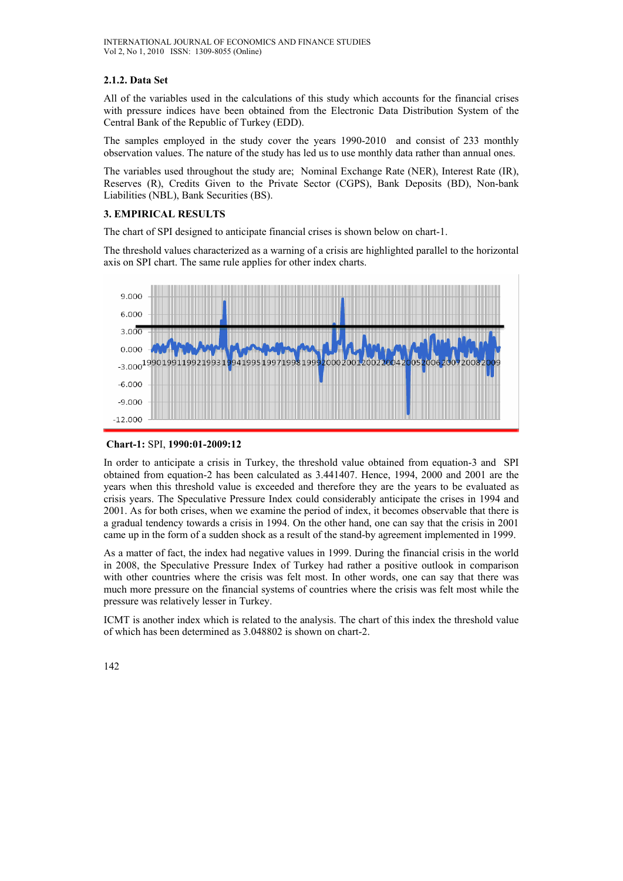# **2.1.2. Data Set**

All of the variables used in the calculations of this study which accounts for the financial crises with pressure indices have been obtained from the Electronic Data Distribution System of the Central Bank of the Republic of Turkey (EDD).

The samples employed in the study cover the years 1990-2010 and consist of 233 monthly observation values. The nature of the study has led us to use monthly data rather than annual ones.

The variables used throughout the study are; Nominal Exchange Rate (NER), Interest Rate (IR), Reserves (R), Credits Given to the Private Sector (CGPS), Bank Deposits (BD), Non-bank Liabilities (NBL), Bank Securities (BS).

# **3. EMPIRICAL RESULTS**

The chart of SPI designed to anticipate financial crises is shown below on chart-1.

The threshold values characterized as a warning of a crisis are highlighted parallel to the horizontal axis on SPI chart. The same rule applies for other index charts.



# **Chart-1:** SPI, **1990:01-2009:12**

In order to anticipate a crisis in Turkey, the threshold value obtained from equation-3 and SPI obtained from equation-2 has been calculated as 3.441407. Hence, 1994, 2000 and 2001 are the years when this threshold value is exceeded and therefore they are the years to be evaluated as crisis years. The Speculative Pressure Index could considerably anticipate the crises in 1994 and 2001. As for both crises, when we examine the period of index, it becomes observable that there is a gradual tendency towards a crisis in 1994. On the other hand, one can say that the crisis in 2001 came up in the form of a sudden shock as a result of the stand-by agreement implemented in 1999.

As a matter of fact, the index had negative values in 1999. During the financial crisis in the world in 2008, the Speculative Pressure Index of Turkey had rather a positive outlook in comparison with other countries where the crisis was felt most. In other words, one can say that there was much more pressure on the financial systems of countries where the crisis was felt most while the pressure was relatively lesser in Turkey.

ICMT is another index which is related to the analysis. The chart of this index the threshold value of which has been determined as 3.048802 is shown on chart-2.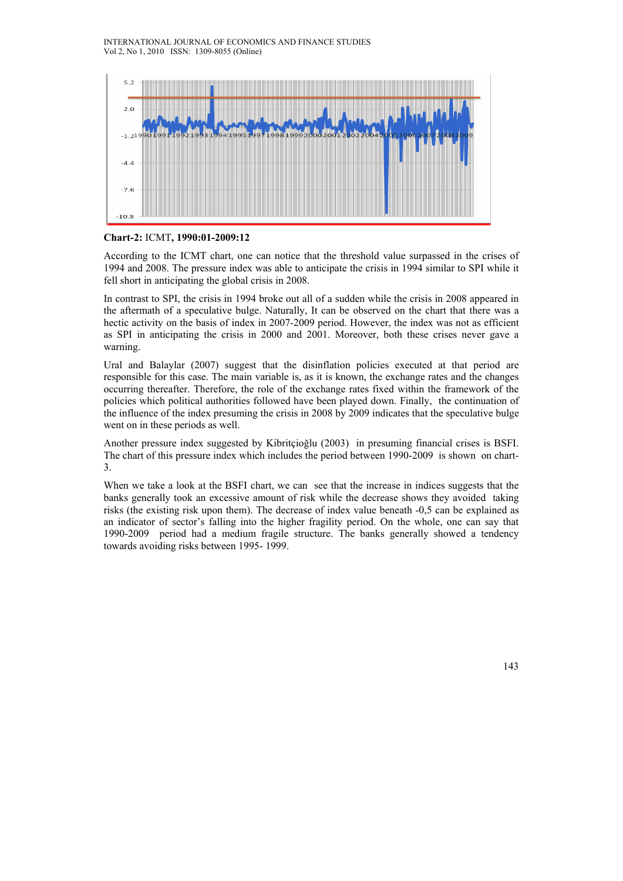INTERNATIONAL JOURNAL OF ECONOMICS AND FINANCE STUDIES Vol 2, No 1, 2010 ISSN: 1309-8055 (Online)



### **Chart-2:** ICMT**, 1990:01-2009:12**

According to the ICMT chart, one can notice that the threshold value surpassed in the crises of 1994 and 2008. The pressure index was able to anticipate the crisis in 1994 similar to SPI while it fell short in anticipating the global crisis in 2008.

In contrast to SPI, the crisis in 1994 broke out all of a sudden while the crisis in 2008 appeared in the aftermath of a speculative bulge. Naturally, It can be observed on the chart that there was a hectic activity on the basis of index in 2007-2009 period. However, the index was not as efficient as SPI in anticipating the crisis in 2000 and 2001. Moreover, both these crises never gave a warning.

Ural and Balaylar (2007) suggest that the disinflation policies executed at that period are responsible for this case. The main variable is, as it is known, the exchange rates and the changes occurring thereafter. Therefore, the role of the exchange rates fixed within the framework of the policies which political authorities followed have been played down. Finally, the continuation of the influence of the index presuming the crisis in 2008 by 2009 indicates that the speculative bulge went on in these periods as well.

Another pressure index suggested by Kibritçioğlu (2003) in presuming financial crises is BSFI. The chart of this pressure index which includes the period between 1990-2009 is shown on chart-3.

When we take a look at the BSFI chart, we can see that the increase in indices suggests that the banks generally took an excessive amount of risk while the decrease shows they avoided taking risks (the existing risk upon them). The decrease of index value beneath -0,5 can be explained as an indicator of sector's falling into the higher fragility period. On the whole, one can say that 1990-2009 period had a medium fragile structure. The banks generally showed a tendency towards avoiding risks between 1995- 1999.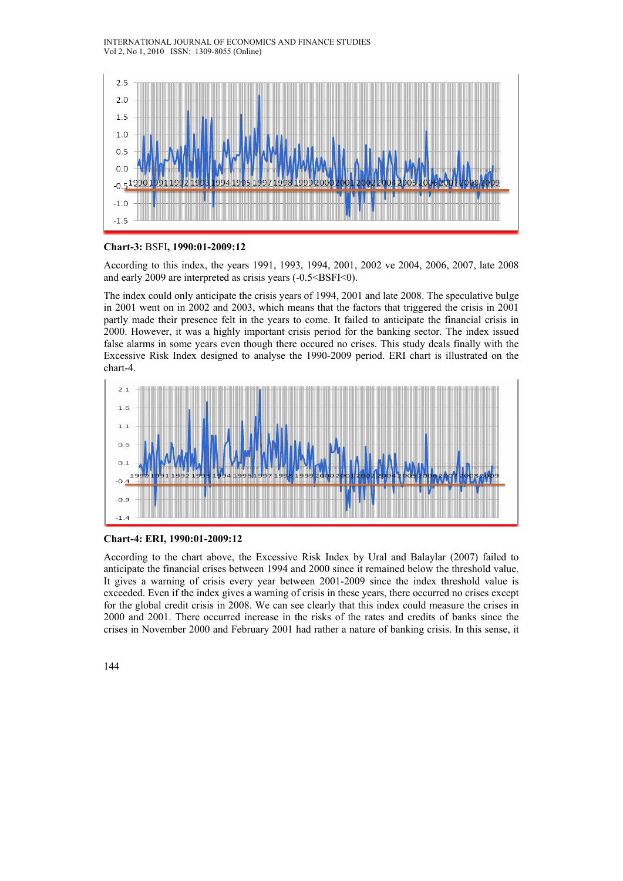#### INTERNATIONAL JOURNAL OF ECONOMICS AND FINANCE STUDIES Vol 2, No 1, 2010 ISSN: 1309-8055 (Online)



### **Chart-3:** BSFI**, 1990:01-2009:12**

According to this index, the years 1991, 1993, 1994, 2001, 2002 ve 2004, 2006, 2007, late 2008 and early 2009 are interpreted as crisis years  $(-0.5<\text{BSFI}<0)$ .

The index could only anticipate the crisis years of 1994, 2001 and late 2008. The speculative bulge in 2001 went on in 2002 and 2003, which means that the factors that triggered the crisis in 2001 partly made their presence felt in the years to come. It failed to anticipate the financial crisis in 2000. However, it was a highly important crisis period for the banking sector. The index issued false alarms in some years even though there occured no crises. This study deals finally with the Excessive Risk Index designed to analyse the 1990-2009 period. ERI chart is illustrated on the chart-4.





According to the chart above, the Excessive Risk Index by Ural and Balaylar (2007) failed to anticipate the financial crises between 1994 and 2000 since it remained below the threshold value. It gives a warning of crisis every year between 2001-2009 since the index threshold value is exceeded. Even if the index gives a warning of crisis in these years, there occurred no crises except for the global credit crisis in 2008. We can see clearly that this index could measure the crises in 2000 and 2001. There occurred increase in the risks of the rates and credits of banks since the crises in November 2000 and February 2001 had rather a nature of banking crisis. In this sense, it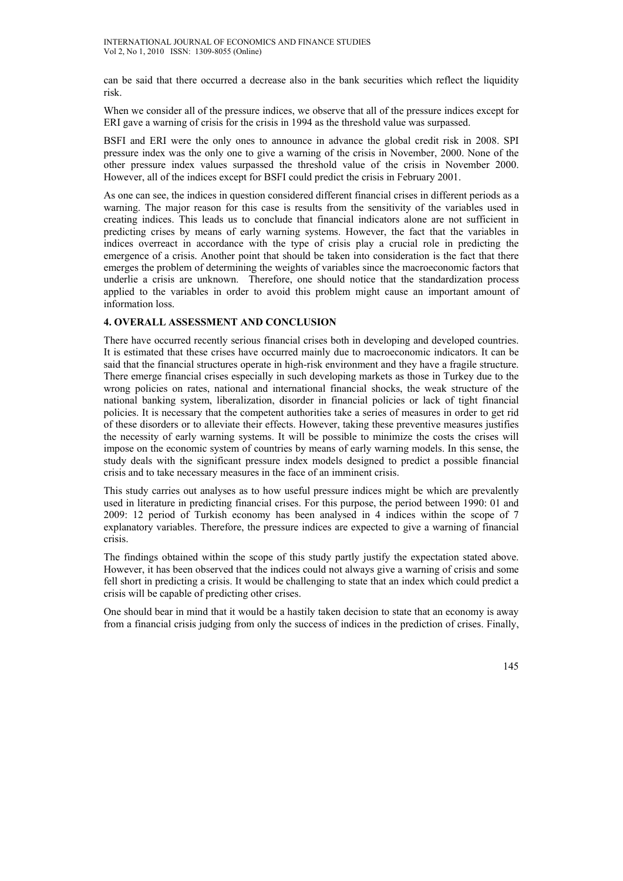can be said that there occurred a decrease also in the bank securities which reflect the liquidity risk.

When we consider all of the pressure indices, we observe that all of the pressure indices except for ERI gave a warning of crisis for the crisis in 1994 as the threshold value was surpassed.

BSFI and ERI were the only ones to announce in advance the global credit risk in 2008. SPI pressure index was the only one to give a warning of the crisis in November, 2000. None of the other pressure index values surpassed the threshold value of the crisis in November 2000. However, all of the indices except for BSFI could predict the crisis in February 2001.

As one can see, the indices in question considered different financial crises in different periods as a warning. The major reason for this case is results from the sensitivity of the variables used in creating indices. This leads us to conclude that financial indicators alone are not sufficient in predicting crises by means of early warning systems. However, the fact that the variables in indices overreact in accordance with the type of crisis play a crucial role in predicting the emergence of a crisis. Another point that should be taken into consideration is the fact that there emerges the problem of determining the weights of variables since the macroeconomic factors that underlie a crisis are unknown. Therefore, one should notice that the standardization process applied to the variables in order to avoid this problem might cause an important amount of information loss.

# **4. OVERALL ASSESSMENT AND CONCLUSION**

There have occurred recently serious financial crises both in developing and developed countries. It is estimated that these crises have occurred mainly due to macroeconomic indicators. It can be said that the financial structures operate in high-risk environment and they have a fragile structure. There emerge financial crises especially in such developing markets as those in Turkey due to the wrong policies on rates, national and international financial shocks, the weak structure of the national banking system, liberalization, disorder in financial policies or lack of tight financial policies. It is necessary that the competent authorities take a series of measures in order to get rid of these disorders or to alleviate their effects. However, taking these preventive measures justifies the necessity of early warning systems. It will be possible to minimize the costs the crises will impose on the economic system of countries by means of early warning models. In this sense, the study deals with the significant pressure index models designed to predict a possible financial crisis and to take necessary measures in the face of an imminent crisis.

This study carries out analyses as to how useful pressure indices might be which are prevalently used in literature in predicting financial crises. For this purpose, the period between 1990: 01 and 2009: 12 period of Turkish economy has been analysed in 4 indices within the scope of 7 explanatory variables. Therefore, the pressure indices are expected to give a warning of financial crisis.

The findings obtained within the scope of this study partly justify the expectation stated above. However, it has been observed that the indices could not always give a warning of crisis and some fell short in predicting a crisis. It would be challenging to state that an index which could predict a crisis will be capable of predicting other crises.

One should bear in mind that it would be a hastily taken decision to state that an economy is away from a financial crisis judging from only the success of indices in the prediction of crises. Finally,